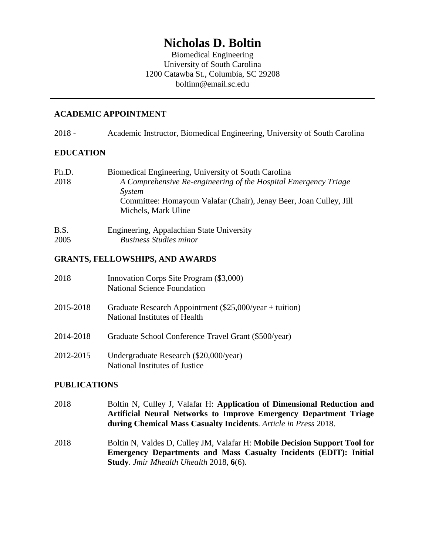# **Nicholas D. Boltin**

Biomedical Engineering University of South Carolina 1200 Catawba St., Columbia, SC 29208 boltinn@email.sc.edu

#### **ACADEMIC APPOINTMENT**

2018 - Academic Instructor, Biomedical Engineering, University of South Carolina

#### **EDUCATION**

| Ph.D. | Biomedical Engineering, University of South Carolina               |
|-------|--------------------------------------------------------------------|
| 2018  | A Comprehensive Re-engineering of the Hospital Emergency Triage    |
|       | System                                                             |
|       | Committee: Homayoun Valafar (Chair), Jenay Beer, Joan Culley, Jill |
|       | Michels, Mark Uline                                                |
| B.S.  | Engineering, Appalachian State University                          |

# 2005 *Business Studies minor*

### **GRANTS, FELLOWSHIPS, AND AWARDS**

| 2018      | Innovation Corps Site Program (\$3,000)<br><b>National Science Foundation</b>             |
|-----------|-------------------------------------------------------------------------------------------|
| 2015-2018 | Graduate Research Appointment $(\$25,000/year + tution)$<br>National Institutes of Health |
| 2014-2018 | Graduate School Conference Travel Grant (\$500/year)                                      |
| 2012-2015 | Undergraduate Research (\$20,000/year)<br>National Institutes of Justice                  |

### **PUBLICATIONS**

- 2018 Boltin N, Culley J, Valafar H: **Application of Dimensional Reduction and Artificial Neural Networks to Improve Emergency Department Triage during Chemical Mass Casualty Incidents**. *Article in Press* 2018.
- 2018 Boltin N, Valdes D, Culley JM, Valafar H: **Mobile Decision Support Tool for Emergency Departments and Mass Casualty Incidents (EDIT): Initial Study**. *Jmir Mhealth Uhealth* 2018, **6**(6).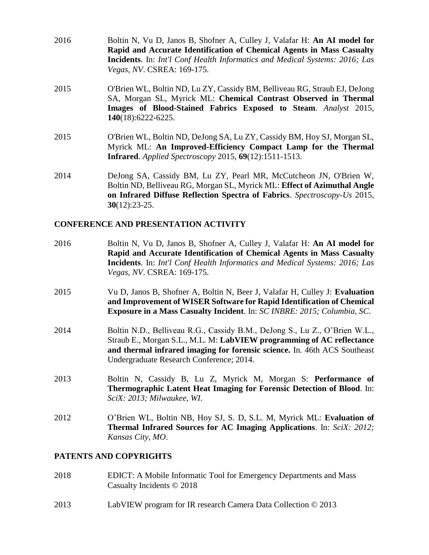- 2016 Boltin N, Vu D, Janos B, Shofner A, Culley J, Valafar H: **An AI model for Rapid and Accurate Identification of Chemical Agents in Mass Casualty Incidents**. In: *Int'l Conf Health Informatics and Medical Systems: 2016; Las Vegas, NV*. CSREA: 169-175.
- 2015 O'Brien WL, Boltin ND, Lu ZY, Cassidy BM, Belliveau RG, Straub EJ, DeJong SA, Morgan SL, Myrick ML: **Chemical Contrast Observed in Thermal Images of Blood-Stained Fabrics Exposed to Steam**. *Analyst* 2015, **140**(18):6222-6225.
- 2015 O'Brien WL, Boltin ND, DeJong SA, Lu ZY, Cassidy BM, Hoy SJ, Morgan SL, Myrick ML: **An Improved-Efficiency Compact Lamp for the Thermal Infrared**. *Applied Spectroscopy* 2015, **69**(12):1511-1513.
- 2014 DeJong SA, Cassidy BM, Lu ZY, Pearl MR, McCutcheon JN, O'Brien W, Boltin ND, Belliveau RG, Morgan SL, Myrick ML: **Effect of Azimuthal Angle on Infrared Diffuse Reflection Spectra of Fabrics**. *Spectroscopy-Us* 2015, **30**(12):23-25.

#### **CONFERENCE AND PRESENTATION ACTIVITY**

2016 Boltin N, Vu D, Janos B, Shofner A, Culley J, Valafar H: **An AI model for Rapid and Accurate Identification of Chemical Agents in Mass Casualty Incidents**. In: *Int'l Conf Health Informatics and Medical Systems: 2016; Las Vegas, NV*. CSREA: 169-175. 2015 Vu D, Janos B, Shofner A, Boltin N, Beer J, Valafar H, Culley J: **Evaluation and Improvement of WISER Software for Rapid Identification of Chemical Exposure in a Mass Casualty Incident**. In: *SC INBRE: 2015; Columbia, SC*. 2014 Boltin N.D., Belliveau R.G., Cassidy B.M., DeJong S., Lu Z., O'Brien W.L., Straub E., Morgan S.L., M.L. M: **LabVIEW programming of AC reflectance and thermal infrared imaging for forensic science.** In*.* 46th ACS Southeast Undergraduate Research Conference; 2014. 2013 Boltin N, Cassidy B, Lu Z, Myrick M, Morgan S: **Performance of Thermographic Latent Heat Imaging for Forensic Detection of Blood**. In: *SciX: 2013; Milwaukee, WI*. 2012 O'Brien WL, Boltin NB, Hoy SJ, S. D, S.L. M, Myrick ML: **Evaluation of Thermal Infrared Sources for AC Imaging Applications**. In: *SciX: 2012; Kansas City, MO*.

#### **PATENTS AND COPYRIGHTS**

- 2018 EDICT: A Mobile Informatic Tool for Emergency Departments and Mass Casualty Incidents © 2018
- 2013 LabVIEW program for IR research Camera Data Collection © 2013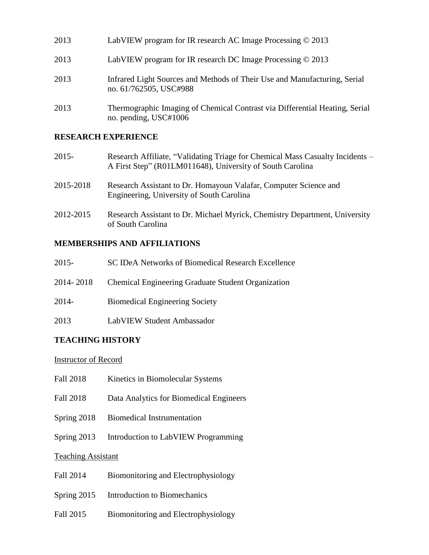| 2013 | LabVIEW program for IR research AC Image Processing © 2013                                           |
|------|------------------------------------------------------------------------------------------------------|
| 2013 | LabVIEW program for IR research DC Image Processing $\odot$ 2013                                     |
| 2013 | Infrared Light Sources and Methods of Their Use and Manufacturing, Serial<br>no. 61/762505, USC#988  |
| 2013 | Thermographic Imaging of Chemical Contrast via Differential Heating, Serial<br>no. pending, USC#1006 |

#### **RESEARCH EXPERIENCE**

| 2015-     | Research Affiliate, "Validating Triage for Chemical Mass Casualty Incidents –<br>A First Step" (R01LM011648), University of South Carolina |
|-----------|--------------------------------------------------------------------------------------------------------------------------------------------|
| 2015-2018 | Research Assistant to Dr. Homayoun Valafar, Computer Science and<br>Engineering, University of South Carolina                              |
| 2012-2015 | Research Assistant to Dr. Michael Myrick, Chemistry Department, University<br>of South Carolina                                            |

## **MEMBERSHIPS AND AFFILIATIONS**

| $2015 -$  | SC IDeA Networks of Biomedical Research Excellence |
|-----------|----------------------------------------------------|
| 2014-2018 | Chemical Engineering Graduate Student Organization |
| $2014 -$  | <b>Biomedical Engineering Society</b>              |

2013 LabVIEW Student Ambassador

# **TEACHING HISTORY**

#### Instructor of Record

- Fall 2018 Kinetics in Biomolecular Systems
- Fall 2018 Data Analytics for Biomedical Engineers
- Spring 2018 Biomedical Instrumentation
- Spring 2013 Introduction to LabVIEW Programming

# Teaching Assistant

- Fall 2014 Biomonitoring and Electrophysiology
- Spring 2015 Introduction to Biomechanics
- Fall 2015 Biomonitoring and Electrophysiology